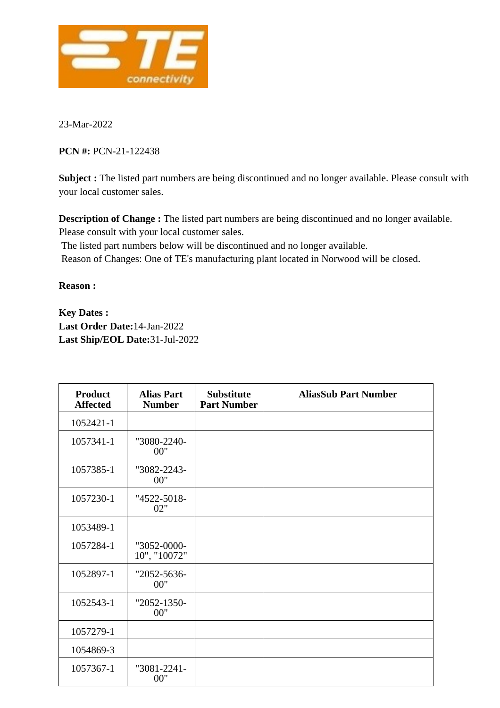

23-Mar-2022

**PCN #:** PCN-21-122438

**Subject :** The listed part numbers are being discontinued and no longer available. Please consult with your local customer sales.

**Description of Change :** The listed part numbers are being discontinued and no longer available. Please consult with your local customer sales.

The listed part numbers below will be discontinued and no longer available.

Reason of Changes: One of TE's manufacturing plant located in Norwood will be closed.

**Reason :**

**Key Dates : Last Order Date:**14-Jan-2022 **Last Ship/EOL Date:**31-Jul-2022

| <b>Product</b><br><b>Affected</b> | <b>Alias Part</b><br><b>Number</b> | <b>Substitute</b><br><b>Part Number</b> | <b>AliasSub Part Number</b> |
|-----------------------------------|------------------------------------|-----------------------------------------|-----------------------------|
| 1052421-1                         |                                    |                                         |                             |
| 1057341-1                         | "3080-2240-<br>00"                 |                                         |                             |
| 1057385-1                         | "3082-2243-<br>00"                 |                                         |                             |
| 1057230-1                         | "4522-5018-<br>02"                 |                                         |                             |
| 1053489-1                         |                                    |                                         |                             |
| 1057284-1                         | "3052-0000-<br>10", "10072"        |                                         |                             |
| 1052897-1                         | "2052-5636-<br>00"                 |                                         |                             |
| 1052543-1                         | "2052-1350-<br>00"                 |                                         |                             |
| 1057279-1                         |                                    |                                         |                             |
| 1054869-3                         |                                    |                                         |                             |
| 1057367-1                         | "3081-2241-<br>00"                 |                                         |                             |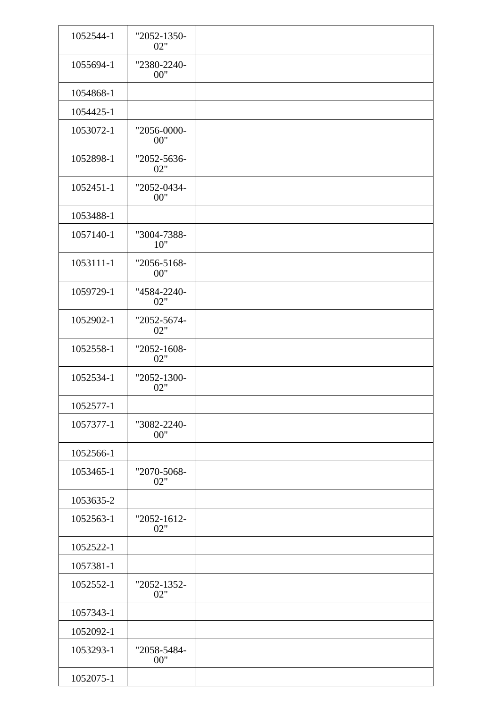| 1052544-1 | "2052-1350-<br>02"   |  |  |
|-----------|----------------------|--|--|
| 1055694-1 | "2380-2240-<br>00"   |  |  |
| 1054868-1 |                      |  |  |
| 1054425-1 |                      |  |  |
| 1053072-1 | "2056-0000-<br>00"   |  |  |
| 1052898-1 | "2052-5636-<br>02"   |  |  |
| 1052451-1 | "2052-0434-<br>00"   |  |  |
| 1053488-1 |                      |  |  |
| 1057140-1 | "3004-7388-<br>10"   |  |  |
| 1053111-1 | "2056-5168-<br>00"   |  |  |
| 1059729-1 | "4584-2240-<br>02"   |  |  |
| 1052902-1 | "2052-5674-<br>02"   |  |  |
| 1052558-1 | "2052-1608-<br>02"   |  |  |
| 1052534-1 | "2052-1300-<br>02"   |  |  |
| 1052577-1 |                      |  |  |
| 1057377-1 | "3082-2240-<br>00"   |  |  |
| 1052566-1 |                      |  |  |
| 1053465-1 | "2070-5068-<br>02"   |  |  |
| 1053635-2 |                      |  |  |
| 1052563-1 | $"2052-1612-$<br>02" |  |  |
| 1052522-1 |                      |  |  |
| 1057381-1 |                      |  |  |
| 1052552-1 | "2052-1352-<br>02"   |  |  |
| 1057343-1 |                      |  |  |
| 1052092-1 |                      |  |  |
| 1053293-1 | "2058-5484-<br>00"   |  |  |
| 1052075-1 |                      |  |  |